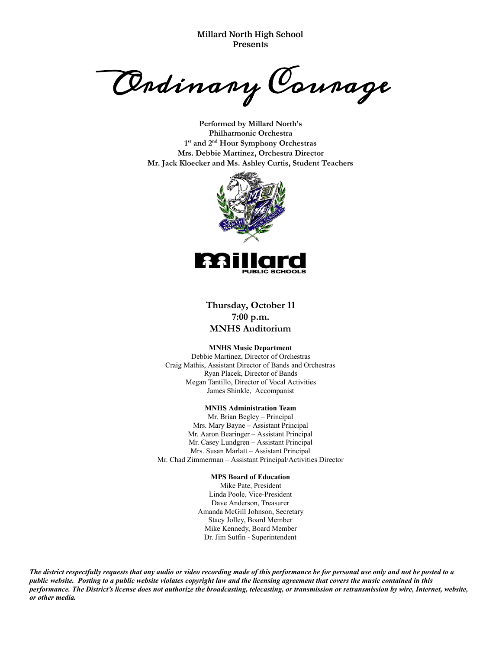**Millard North High School Presents**

Ordinary Courage

**Performed by Millard North's Philharmonic Orchestra 1st and 2nd Hour Symphony Orchestras Mrs. Debbie Martinez, Orchestra Director Mr. Jack Kloecker and Ms. Ashley Curtis, Student Teachers**



**Thursday, October 11 7:00 p.m. MNHS Auditorium**

#### **MNHS Music Department**

Debbie Martinez, Director of Orchestras Craig Mathis, Assistant Director of Bands and Orchestras Ryan Placek, Director of Bands Megan Tantillo, Director of Vocal Activities James Shinkle, Accompanist

#### **MNHS Administration Team**

Mr. Brian Begley – Principal Mrs. Mary Bayne – Assistant Principal Mr. Aaron Bearinger – Assistant Principal Mr. Casey Lundgren – Assistant Principal Mrs. Susan Marlatt – Assistant Principal Mr. Chad Zimmerman – Assistant Principal/Activities Director

#### **MPS Board of Education**

Mike Pate, President Linda Poole, Vice-President Dave Anderson, Treasurer Amanda McGill Johnson, Secretary Stacy Jolley, Board Member Mike Kennedy, Board Member Dr. Jim Sutfin - Superintendent

*The district respectfully requests that any audio or video recording made of this performance be for personal use only and not be posted to a public website. Posting to a public website violates copyright law and the licensing agreement that covers the music contained in this performance. The District's license does not authorize the broadcasting, telecasting, or transmission or retransmission by wire, Internet, website, or other media.*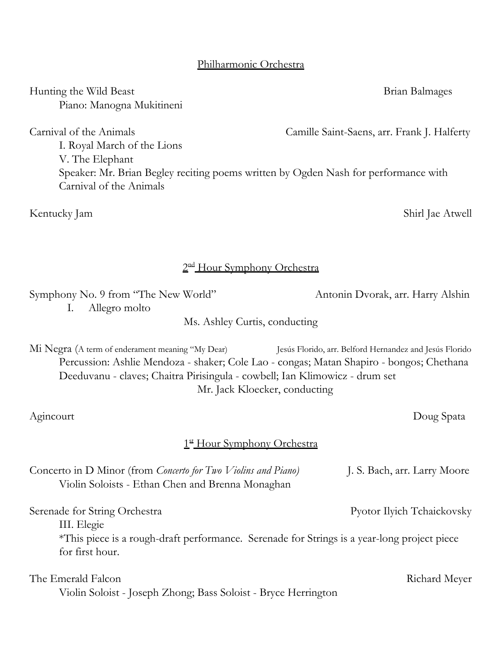Hunting the Wild Beast **Brian Balmages** Brian Balmages Piano: Manogna Mukitineni

Carnival of the Animals Camille Saint-Saens, arr. Frank J. Halferty I. Royal March of the Lions V. The Elephant Speaker: Mr. Brian Begley reciting poems written by Ogden Nash for performance with Carnival of the Animals

Kentucky Jam Shirl Jae Atwell

2<sup>nd</sup> Hour Symphony Orchestra

Symphony No. 9 from "The New World" Antonin Dvorak, arr. Harry Alshin I. Allegro molto

Ms. Ashley Curtis, conducting

Mi Negra (A term of enderament meaning "My Dear) Jesús Florido, arr. Belford Hernandez and Jesús Florido Percussion: Ashlie Mendoza - shaker; Cole Lao - congas; Matan Shapiro - bongos; Chethana Deeduvanu - claves; Chaitra Pirisingula - cowbell; Ian Klimowicz - drum set Mr. Jack Kloecker, conducting

# 1st Hour Symphony Orchestra

| Concerto in D Minor (from Concerto for Two Violins and Piano)<br>Violin Soloists - Ethan Chen and Brenna Monaghan | J. S. Bach, arr. Larry Moore |
|-------------------------------------------------------------------------------------------------------------------|------------------------------|
| Serenade for String Orchestra<br>III. Elegie                                                                      | Pyotor Ilyich Tchaickovsky   |
| *This piece is a rough-draft performance. Serenade for Strings is a year-long project piece<br>for first hour.    |                              |
| The Emerald Falcon<br>Violin Soloist - Joseph Zhong; Bass Soloist - Bryce Herrington                              | Richard Meyer                |

Agincourt Doug Spata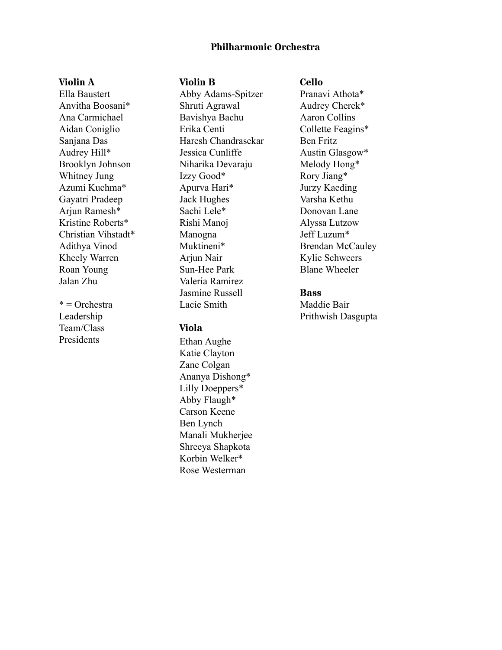# **Philharmonic Orchestra**

## **Violin A**

Ella Baustert Anvitha Boosani\* Ana Carmichael Aidan Coniglio Sanjana Das Audrey Hill\* Brooklyn Johnson Whitney Jung Azumi Kuchma\* Gayatri Pradeep Arjun Ramesh\* Kristine Roberts\* Christian Vihstadt\* Adithya Vinod Kheely Warren Roan Young Jalan Zhu

 $*$  = Orchestra Leadership Team/Class Presidents

## **Violin B**

Abby Adams-Spitzer Shruti Agrawal Bavishya Bachu Erika Centi Haresh Chandrasekar Jessica Cunliffe Niharika Devaraju Izzy Good\* Apurva Hari\* Jack Hughes Sachi Lele\* Rishi Manoj Manogna Muktineni\* Arjun Nair Sun-Hee Park Valeria Ramirez Jasmine Russell Lacie Smith

### **Viola**

Ethan Aughe Katie Clayton Zane Colgan Ananya Dishong\* Lilly Doeppers\* Abby Flaugh\* Carson Keene Ben Lynch Manali Mukherjee Shreeya Shapkota Korbin Welker\* Rose Westerman

## **Cello**

Pranavi Athota\* Audrey Cherek\* Aaron Collins Collette Feagins\* Ben Fritz Austin Glasgow\* Melody Hong\* Rory Jiang\* Jurzy Kaeding Varsha Kethu Donovan Lane Alyssa Lutzow Jeff Luzum\* Brendan McCauley Kylie Schweers Blane Wheeler

### **Bass**

Maddie Bair Prithwish Dasgupta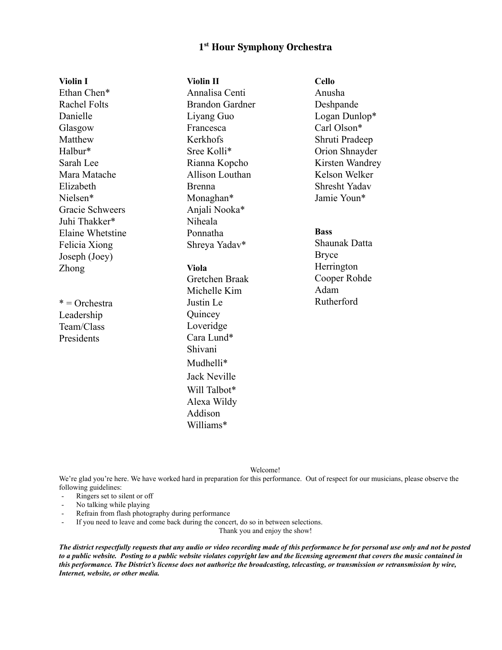# **1 st Hour Symphony Orchestra**

| <b>Violin I</b>     | <b>Violin II</b>       | <b>Cello</b>         |
|---------------------|------------------------|----------------------|
| Ethan Chen*         | Annalisa Centi         | Anusha               |
| <b>Rachel Folts</b> | <b>Brandon Gardner</b> | Deshpande            |
| Danielle            | Liyang Guo             | Logan Dunlop*        |
| Glasgow             | Francesca              | Carl Olson*          |
| Matthew             | Kerkhofs               | Shruti Pradeep       |
| Halbur*             | Sree Kolli*            | Orion Shnayder       |
| Sarah Lee           | Rianna Kopcho          | Kirsten Wandrey      |
| Mara Matache        | Allison Louthan        | Kelson Welker        |
| Elizabeth           | <b>Brenna</b>          | <b>Shresht Yadav</b> |
| Nielsen*            | Monaghan*              | Jamie Youn*          |
| Gracie Schweers     | Anjali Nooka*          |                      |
| Juhi Thakker*       | Niheala                |                      |
| Elaine Whetstine    | Ponnatha               | <b>Bass</b>          |
| Felicia Xiong       | Shreya Yadav*          | <b>Shaunak Datta</b> |
| Joseph (Joey)       |                        | <b>Bryce</b>         |
| <b>Zhong</b>        | <b>Viola</b>           | Herrington           |
|                     | Gretchen Braak         | Cooper Rohde         |
|                     | Michelle Kim           | Adam                 |
| $*$ = Orchestra     | Justin Le              | Rutherford           |
| Leadership          | Quincey                |                      |
| Team/Class          | Loveridge              |                      |
| Presidents          | Cara Lund*             |                      |
|                     | Shivani                |                      |
|                     | Mudhelli*              |                      |
|                     | <b>Jack Neville</b>    |                      |
|                     | Will Talbot*           |                      |
|                     | Alexa Wildy            |                      |
|                     | Addison                |                      |

Welcome!

We're glad you're here. We have worked hard in preparation for this performance. Out of respect for our musicians, please observe the following guidelines:

- Ringers set to silent or off
- No talking while playing
- Refrain from flash photography during performance

If you need to leave and come back during the concert, do so in between selections.

Williams\*

Thank you and enjoy the show!

*The district respectfully requests that any audio or video recording made of this performance be for personal use only and not be posted to a public website. Posting to a public website violates copyright law and the licensing agreement that covers the music contained in this performance. The District's license does not authorize the broadcasting, telecasting, or transmission or retransmission by wire, Internet, website, or other media.*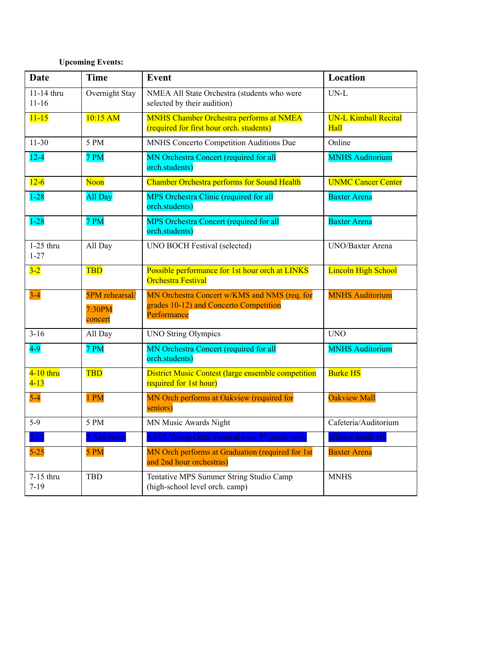# **Upcoming Events:**

| <b>Date</b>             | <b>Time</b>                         | <b>Event</b>                                                                                          | Location                                   |
|-------------------------|-------------------------------------|-------------------------------------------------------------------------------------------------------|--------------------------------------------|
| 11-14 thru<br>$11 - 16$ | Overnight Stay                      | NMEA All State Orchestra (students who were<br>selected by their audition)                            | $UN-L$                                     |
| $11 - 15$               | 10:15 AM                            | MNHS Chamber Orchestra performs at NMEA<br>(required for first hour orch. students)                   | <b>UN-L Kimball Recital</b><br><b>Hall</b> |
| $11-30$                 | 5 PM                                | MNHS Concerto Competition Auditions Due                                                               | Online                                     |
| $12 - 4$                | 7 PM                                | MN Orchestra Concert (required for all<br>orch.students)                                              | <b>MNHS Auditorium</b>                     |
| $12 - 6$                | Noon                                | <b>Chamber Orchestra performs for Sound Health</b>                                                    | <b>UNMC Cancer Center</b>                  |
| $1 - 28$                | All Day                             | MPS Orchestra Clinic (required for all<br>orch.students)                                              | <b>Baxter Arena</b>                        |
| $1 - 28$                | 7 PM                                | MPS Orchestra Concert (required for all<br>orch.students)                                             | <b>Baxter Arena</b>                        |
| $1-25$ thru<br>$1 - 27$ | All Day                             | <b>UNO BOCH Festival (selected)</b>                                                                   | UNO/Baxter Arena                           |
| $3 - 2$                 | <b>TBD</b>                          | Possible performance for 1st hour orch at LINKS<br><b>Orchestra Festival</b>                          | <b>Lincoln High School</b>                 |
| $3 - 4$                 | 5PM rehearsal/<br>7:30PM<br>concert | MN Orchestra Concert w/KMS and NMS (req. for<br>grades 10-12) and Concerto Competition<br>Performance | <b>MNHS Auditorium</b>                     |
| $3 - 16$                | All Day                             | <b>UNO String Olympics</b>                                                                            | <b>UNO</b>                                 |
| $4-9$                   | 7 PM                                | MN Orchestra Concert (required for all<br>orch.students)                                              | <b>MNHS Auditorium</b>                     |
| 4-10 thru<br>$4 - 13$   | <b>TBD</b>                          | <b>District Music Contest (large ensemble competition</b><br>required for 1st hour)                   | <b>Burke HS</b>                            |
| $5-4$                   | 1 PM                                | MN Orch performs at Oakview (required for<br>seniors)                                                 | <b>Oakview Mall</b>                        |
| $5-9$                   | 5 PM                                | MN Music Awards Night                                                                                 | Cafeteria/Auditorium                       |
| $5 - 11$                | 7 AM-Noon                           | <b>ASTA Young Orch. Festival (req. 9th grade only)</b>                                                | <b>Millard South HS</b>                    |
| $5 - 25$                | 5 PM                                | MN Orch performs at Graduation (required for 1st<br>and 2nd hour orchestras)                          | <b>Baxter Arena</b>                        |
| 7-15 thru<br>$7 - 19$   | <b>TBD</b>                          | Tentative MPS Summer String Studio Camp<br>(high-school level orch. camp)                             | <b>MNHS</b>                                |